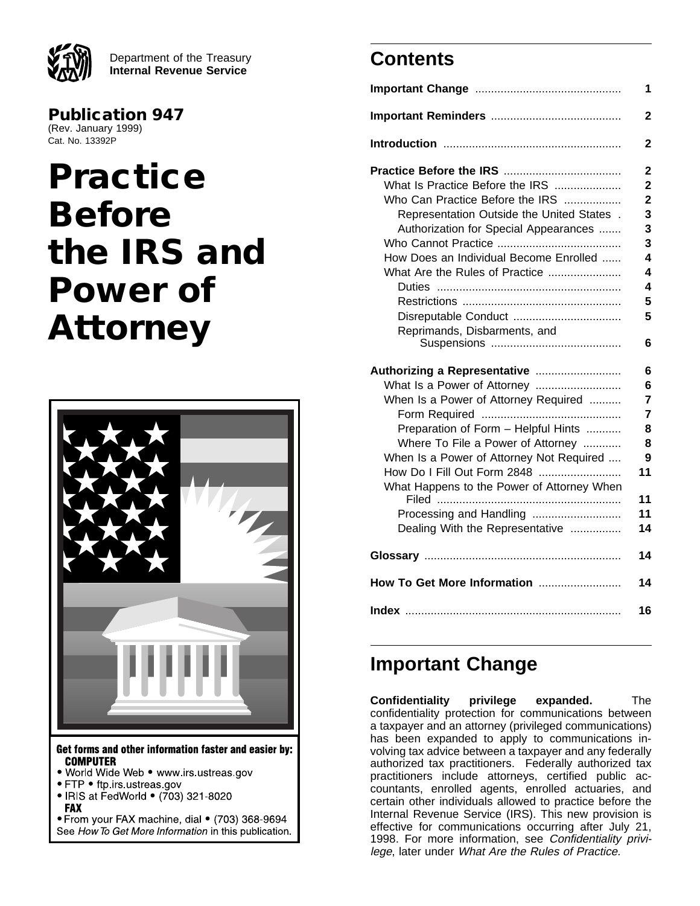Department of the Treasury **Internal Revenue Service**

**Publication 947** (Rev. January 1999) Cat. No. 13392P

# **Practice Before the IRS and Power of Attorney**



- . World Wide Web . www.irs.ustreas.gov
- FTP ftp.irs.ustreas.gov
- IRIS at FedWorld (703) 321-8020

**FAX** 

• From your FAX machine, dial • (703) 368-9694 See How To Get More Information in this publication.

# **Contents**

|                                                                                                                                                                                                                                                                                                          | 1                                                                                |
|----------------------------------------------------------------------------------------------------------------------------------------------------------------------------------------------------------------------------------------------------------------------------------------------------------|----------------------------------------------------------------------------------|
|                                                                                                                                                                                                                                                                                                          | 2                                                                                |
|                                                                                                                                                                                                                                                                                                          | 2                                                                                |
| What Is Practice Before the IRS<br>Who Can Practice Before the IRS<br>Representation Outside the United States.<br>Authorization for Special Appearances<br>How Does an Individual Become Enrolled<br>What Are the Rules of Practice                                                                     | $\overline{2}$<br>$\overline{2}$<br>$\overline{2}$<br>3<br>3<br>3<br>4<br>4<br>4 |
| Reprimands, Disbarments, and                                                                                                                                                                                                                                                                             | 5<br>5<br>6                                                                      |
| Authorizing a Representative<br>What Is a Power of Attorney<br>When Is a Power of Attorney Required<br>Preparation of Form - Helpful Hints<br>Where To File a Power of Attorney<br>When Is a Power of Attorney Not Required<br>How Do I Fill Out Form 2848<br>What Happens to the Power of Attorney When | 6<br>6<br>7<br>7<br>8<br>8<br>9<br>11<br>11                                      |
| Processing and Handling<br>Dealing With the Representative                                                                                                                                                                                                                                               | 11<br>14                                                                         |
|                                                                                                                                                                                                                                                                                                          | 14                                                                               |
| How To Get More Information                                                                                                                                                                                                                                                                              | 14                                                                               |
|                                                                                                                                                                                                                                                                                                          | 16                                                                               |

# **Important Change**

**Confidentiality privilege expanded.** The confidentiality protection for communications between a taxpayer and an attorney (privileged communications) has been expanded to apply to communications involving tax advice between a taxpayer and any federally authorized tax practitioners. Federally authorized tax practitioners include attorneys, certified public accountants, enrolled agents, enrolled actuaries, and certain other individuals allowed to practice before the Internal Revenue Service (IRS). This new provision is effective for communications occurring after July 21, 1998. For more information, see Confidentiality privilege, later under What Are the Rules of Practice.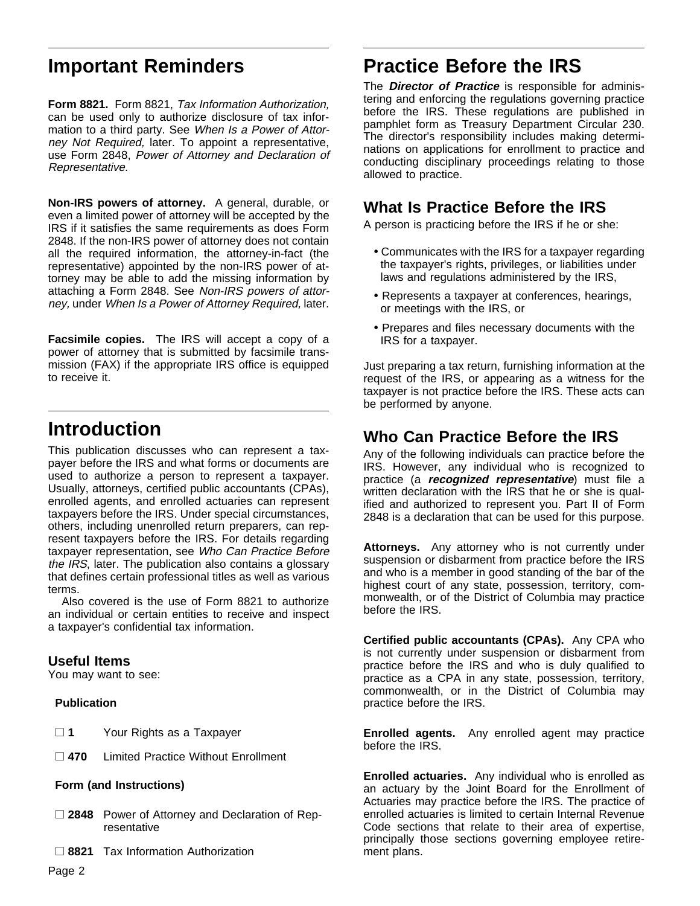# **Important Reminders**

**Form 8821.** Form 8821, Tax Information Authorization, can be used only to authorize disclosure of tax information to a third party. See When Is a Power of Attorney Not Required, later. To appoint a representative, use Form 2848, Power of Attorney and Declaration of Representative.

**Non-IRS powers of attorney.** A general, durable, or even a limited power of attorney will be accepted by the IRS if it satisfies the same requirements as does Form 2848. If the non-IRS power of attorney does not contain all the required information, the attorney-in-fact (the representative) appointed by the non-IRS power of attorney may be able to add the missing information by attaching a Form 2848. See Non-IRS powers of attorney, under When Is a Power of Attorney Required, later.

**Facsimile copies.** The IRS will accept a copy of a power of attorney that is submitted by facsimile transmission (FAX) if the appropriate IRS office is equipped to receive it.

# **Introduction**

This publication discusses who can represent a taxpayer before the IRS and what forms or documents are used to authorize a person to represent a taxpayer. Usually, attorneys, certified public accountants (CPAs), enrolled agents, and enrolled actuaries can represent taxpayers before the IRS. Under special circumstances, others, including unenrolled return preparers, can represent taxpayers before the IRS. For details regarding taxpayer representation, see Who Can Practice Before the IRS, later. The publication also contains a glossary that defines certain professional titles as well as various terms.

Also covered is the use of Form 8821 to authorize an individual or certain entities to receive and inspect a taxpayer's confidential tax information.

### **Useful Items**

You may want to see:

#### **Publication**

- □ 1 Your Rights as a Taxpayer
- □ 470 Limited Practice Without Enrollment

#### **Form (and Instructions)**

- □ 2848 Power of Attorney and Declaration of Representative
- □ 8821 Tax Information Authorization

# **Practice Before the IRS**

The **Director of Practice** is responsible for administering and enforcing the regulations governing practice before the IRS. These regulations are published in pamphlet form as Treasury Department Circular 230. The director's responsibility includes making determinations on applications for enrollment to practice and conducting disciplinary proceedings relating to those allowed to practice.

# **What Is Practice Before the IRS**

A person is practicing before the IRS if he or she:

- Communicates with the IRS for a taxpayer regarding the taxpayer's rights, privileges, or liabilities under laws and regulations administered by the IRS,
- Represents a taxpayer at conferences, hearings, or meetings with the IRS, or
- Prepares and files necessary documents with the IRS for a taxpayer.

Just preparing a tax return, furnishing information at the request of the IRS, or appearing as a witness for the taxpayer is not practice before the IRS. These acts can be performed by anyone.

# **Who Can Practice Before the IRS**

Any of the following individuals can practice before the IRS. However, any individual who is recognized to practice (a **recognized representative**) must file a written declaration with the IRS that he or she is qualified and authorized to represent you. Part II of Form 2848 is a declaration that can be used for this purpose.

**Attorneys.** Any attorney who is not currently under suspension or disbarment from practice before the IRS and who is a member in good standing of the bar of the highest court of any state, possession, territory, commonwealth, or of the District of Columbia may practice before the IRS.

**Certified public accountants (CPAs).** Any CPA who is not currently under suspension or disbarment from practice before the IRS and who is duly qualified to practice as a CPA in any state, possession, territory, commonwealth, or in the District of Columbia may practice before the IRS.

**Enrolled agents.** Any enrolled agent may practice before the IRS.

**Enrolled actuaries.** Any individual who is enrolled as an actuary by the Joint Board for the Enrollment of Actuaries may practice before the IRS. The practice of enrolled actuaries is limited to certain Internal Revenue Code sections that relate to their area of expertise, principally those sections governing employee retirement plans.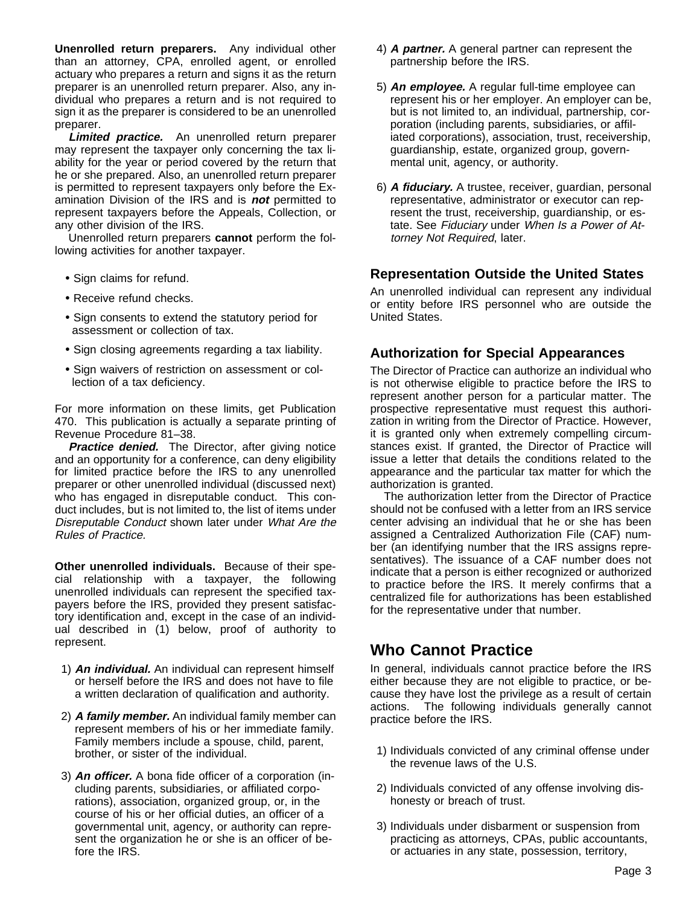**Unenrolled return preparers.** Any individual other than an attorney, CPA, enrolled agent, or enrolled actuary who prepares a return and signs it as the return preparer is an unenrolled return preparer. Also, any individual who prepares a return and is not required to sign it as the preparer is considered to be an unenrolled preparer.

**Limited practice.** An unenrolled return preparer may represent the taxpayer only concerning the tax liability for the year or period covered by the return that he or she prepared. Also, an unenrolled return preparer is permitted to represent taxpayers only before the Examination Division of the IRS and is **not** permitted to represent taxpayers before the Appeals, Collection, or any other division of the IRS.

Unenrolled return preparers **cannot** perform the following activities for another taxpayer.

- Sign claims for refund.
- Receive refund checks.
- Sign consents to extend the statutory period for assessment or collection of tax.
- Sign closing agreements regarding a tax liability.
- Sign waivers of restriction on assessment or collection of a tax deficiency.

For more information on these limits, get Publication 470. This publication is actually a separate printing of Revenue Procedure 81–38.

**Practice denied.** The Director, after giving notice and an opportunity for a conference, can deny eligibility for limited practice before the IRS to any unenrolled preparer or other unenrolled individual (discussed next) who has engaged in disreputable conduct. This conduct includes, but is not limited to, the list of items under Disreputable Conduct shown later under What Are the Rules of Practice.

**Other unenrolled individuals.** Because of their special relationship with a taxpayer, the following unenrolled individuals can represent the specified taxpayers before the IRS, provided they present satisfactory identification and, except in the case of an individual described in (1) below, proof of authority to represent.

- 1) **An individual.** An individual can represent himself or herself before the IRS and does not have to file a written declaration of qualification and authority.
- 2) **A family member.** An individual family member can represent members of his or her immediate family. Family members include a spouse, child, parent, brother, or sister of the individual.
- 3) **An officer.** A bona fide officer of a corporation (including parents, subsidiaries, or affiliated corporations), association, organized group, or, in the course of his or her official duties, an officer of a governmental unit, agency, or authority can represent the organization he or she is an officer of before the IRS.
- 4) **A partner.** A general partner can represent the partnership before the IRS.
- 5) **An employee.** A regular full-time employee can represent his or her employer. An employer can be, but is not limited to, an individual, partnership, corporation (including parents, subsidiaries, or affiliated corporations), association, trust, receivership, guardianship, estate, organized group, governmental unit, agency, or authority.
- 6) **A fiduciary.** A trustee, receiver, guardian, personal representative, administrator or executor can represent the trust, receivership, guardianship, or estate. See Fiduciary under When Is a Power of Attorney Not Required, later.

### **Representation Outside the United States**

An unenrolled individual can represent any individual or entity before IRS personnel who are outside the United States.

### **Authorization for Special Appearances**

The Director of Practice can authorize an individual who is not otherwise eligible to practice before the IRS to represent another person for a particular matter. The prospective representative must request this authorization in writing from the Director of Practice. However, it is granted only when extremely compelling circumstances exist. If granted, the Director of Practice will issue a letter that details the conditions related to the appearance and the particular tax matter for which the authorization is granted.

The authorization letter from the Director of Practice should not be confused with a letter from an IRS service center advising an individual that he or she has been assigned a Centralized Authorization File (CAF) number (an identifying number that the IRS assigns representatives). The issuance of a CAF number does not indicate that a person is either recognized or authorized to practice before the IRS. It merely confirms that a centralized file for authorizations has been established for the representative under that number.

# **Who Cannot Practice**

In general, individuals cannot practice before the IRS either because they are not eligible to practice, or because they have lost the privilege as a result of certain actions. The following individuals generally cannot practice before the IRS.

- 1) Individuals convicted of any criminal offense under the revenue laws of the U.S.
- 2) Individuals convicted of any offense involving dishonesty or breach of trust.
- 3) Individuals under disbarment or suspension from practicing as attorneys, CPAs, public accountants, or actuaries in any state, possession, territory,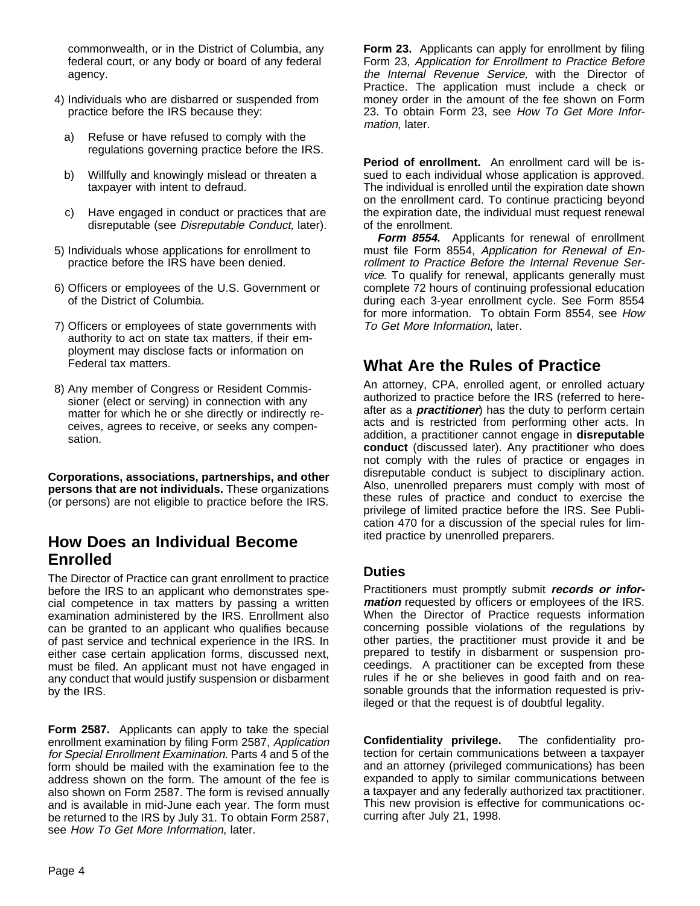commonwealth, or in the District of Columbia, any federal court, or any body or board of any federal agency.

- 4) Individuals who are disbarred or suspended from practice before the IRS because they:
	- a) Refuse or have refused to comply with the regulations governing practice before the IRS.
	- b) Willfully and knowingly mislead or threaten a taxpayer with intent to defraud.
	- c) Have engaged in conduct or practices that are disreputable (see Disreputable Conduct, later).
- 5) Individuals whose applications for enrollment to practice before the IRS have been denied.
- 6) Officers or employees of the U.S. Government or of the District of Columbia.
- 7) Officers or employees of state governments with authority to act on state tax matters, if their employment may disclose facts or information on Federal tax matters.
- 8) Any member of Congress or Resident Commissioner (elect or serving) in connection with any matter for which he or she directly or indirectly receives, agrees to receive, or seeks any compensation.

**Corporations, associations, partnerships, and other persons that are not individuals.** These organizations (or persons) are not eligible to practice before the IRS.

# **How Does an Individual Become Enrolled**

The Director of Practice can grant enrollment to practice before the IRS to an applicant who demonstrates special competence in tax matters by passing a written examination administered by the IRS. Enrollment also can be granted to an applicant who qualifies because of past service and technical experience in the IRS. In either case certain application forms, discussed next, must be filed. An applicant must not have engaged in any conduct that would justify suspension or disbarment by the IRS.

**Form 2587.** Applicants can apply to take the special enrollment examination by filing Form 2587, Application for Special Enrollment Examination. Parts 4 and 5 of the form should be mailed with the examination fee to the address shown on the form. The amount of the fee is also shown on Form 2587. The form is revised annually and is available in mid-June each year. The form must be returned to the IRS by July 31. To obtain Form 2587, see How To Get More Information, later.

**Form 23.** Applicants can apply for enrollment by filing Form 23, Application for Enrollment to Practice Before the Internal Revenue Service, with the Director of Practice. The application must include a check or money order in the amount of the fee shown on Form 23. To obtain Form 23, see How To Get More Information, later.

**Period of enrollment.** An enrollment card will be issued to each individual whose application is approved. The individual is enrolled until the expiration date shown on the enrollment card. To continue practicing beyond the expiration date, the individual must request renewal of the enrollment.

**Form 8554.** Applicants for renewal of enrollment must file Form 8554, Application for Renewal of Enrollment to Practice Before the Internal Revenue Service. To qualify for renewal, applicants generally must complete 72 hours of continuing professional education during each 3-year enrollment cycle. See Form 8554 for more information. To obtain Form 8554, see How To Get More Information, later.

# **What Are the Rules of Practice**

An attorney, CPA, enrolled agent, or enrolled actuary authorized to practice before the IRS (referred to hereafter as a **practitioner**) has the duty to perform certain acts and is restricted from performing other acts. In addition, a practitioner cannot engage in **disreputable conduct** (discussed later). Any practitioner who does not comply with the rules of practice or engages in disreputable conduct is subject to disciplinary action. Also, unenrolled preparers must comply with most of these rules of practice and conduct to exercise the privilege of limited practice before the IRS. See Publication 470 for a discussion of the special rules for limited practice by unenrolled preparers.

# **Duties**

Practitioners must promptly submit **records or information** requested by officers or employees of the IRS. When the Director of Practice requests information concerning possible violations of the regulations by other parties, the practitioner must provide it and be prepared to testify in disbarment or suspension proceedings. A practitioner can be excepted from these rules if he or she believes in good faith and on reasonable grounds that the information requested is privileged or that the request is of doubtful legality.

**Confidentiality privilege.** The confidentiality protection for certain communications between a taxpayer and an attorney (privileged communications) has been expanded to apply to similar communications between a taxpayer and any federally authorized tax practitioner. This new provision is effective for communications occurring after July 21, 1998.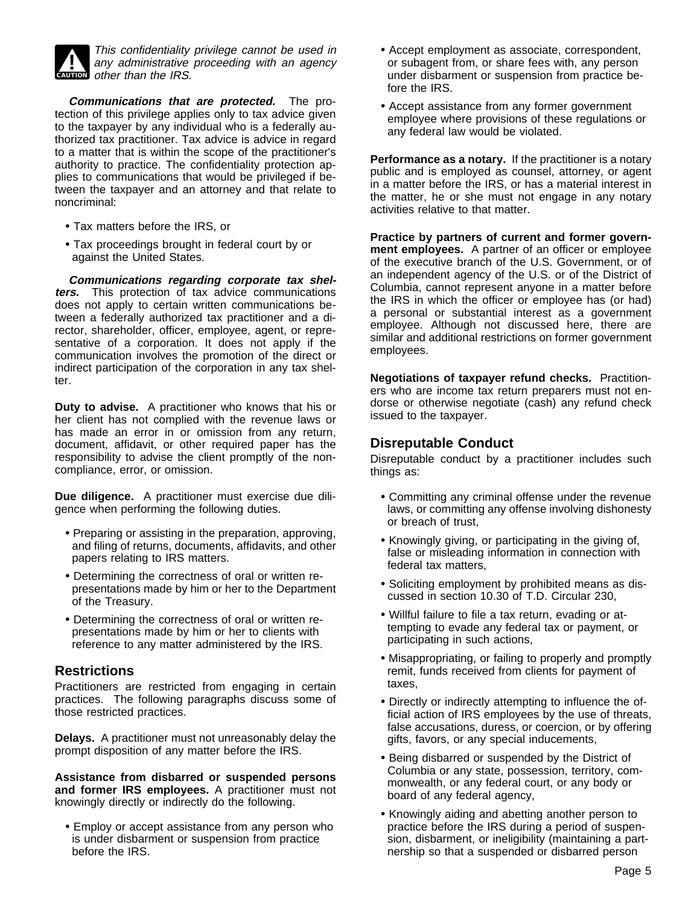

**CAUTION** other than the IRS. This confidentiality privilege cannot be used in<br>any administrative proceeding with an agency

**Communications that are protected.** The protection of this privilege applies only to tax advice given to the taxpayer by any individual who is a federally authorized tax practitioner. Tax advice is advice in regard to a matter that is within the scope of the practitioner's authority to practice. The confidentiality protection applies to communications that would be privileged if between the taxpayer and an attorney and that relate to noncriminal:

- Tax matters before the IRS, or
- Tax proceedings brought in federal court by or against the United States.

**Communications regarding corporate tax shelters.** This protection of tax advice communications does not apply to certain written communications between a federally authorized tax practitioner and a director, shareholder, officer, employee, agent, or representative of a corporation. It does not apply if the communication involves the promotion of the direct or indirect participation of the corporation in any tax shelter.

**Duty to advise.** A practitioner who knows that his or her client has not complied with the revenue laws or has made an error in or omission from any return, document, affidavit, or other required paper has the responsibility to advise the client promptly of the noncompliance, error, or omission.

**Due diligence.** A practitioner must exercise due diligence when performing the following duties.

- Preparing or assisting in the preparation, approving, and filing of returns, documents, affidavits, and other papers relating to IRS matters.
- Determining the correctness of oral or written representations made by him or her to the Department of the Treasury.
- Determining the correctness of oral or written representations made by him or her to clients with reference to any matter administered by the IRS.

# **Restrictions**

Practitioners are restricted from engaging in certain practices. The following paragraphs discuss some of those restricted practices.

**Delays.** A practitioner must not unreasonably delay the prompt disposition of any matter before the IRS.

**Assistance from disbarred or suspended persons and former IRS employees.** A practitioner must not knowingly directly or indirectly do the following.

• Employ or accept assistance from any person who is under disbarment or suspension from practice before the IRS.

- Accept employment as associate, correspondent, or subagent from, or share fees with, any person under disbarment or suspension from practice before the IRS.
- Accept assistance from any former government employee where provisions of these regulations or any federal law would be violated.

**Performance as a notary.** If the practitioner is a notary public and is employed as counsel, attorney, or agent in a matter before the IRS, or has a material interest in the matter, he or she must not engage in any notary activities relative to that matter.

**Practice by partners of current and former government employees.** A partner of an officer or employee of the executive branch of the U.S. Government, or of an independent agency of the U.S. or of the District of Columbia, cannot represent anyone in a matter before the IRS in which the officer or employee has (or had) a personal or substantial interest as a government employee. Although not discussed here, there are similar and additional restrictions on former government employees.

**Negotiations of taxpayer refund checks.** Practitioners who are income tax return preparers must not endorse or otherwise negotiate (cash) any refund check issued to the taxpayer.

# **Disreputable Conduct**

Disreputable conduct by a practitioner includes such things as:

- Committing any criminal offense under the revenue laws, or committing any offense involving dishonesty or breach of trust,
- Knowingly giving, or participating in the giving of, false or misleading information in connection with federal tax matters,
- Soliciting employment by prohibited means as discussed in section 10.30 of T.D. Circular 230,
- Willful failure to file a tax return, evading or attempting to evade any federal tax or payment, or participating in such actions,
- Misappropriating, or failing to properly and promptly remit, funds received from clients for payment of taxes,
- Directly or indirectly attempting to influence the official action of IRS employees by the use of threats, false accusations, duress, or coercion, or by offering gifts, favors, or any special inducements,
- Being disbarred or suspended by the District of Columbia or any state, possession, territory, commonwealth, or any federal court, or any body or board of any federal agency,
- Knowingly aiding and abetting another person to practice before the IRS during a period of suspension, disbarment, or ineligibility (maintaining a partnership so that a suspended or disbarred person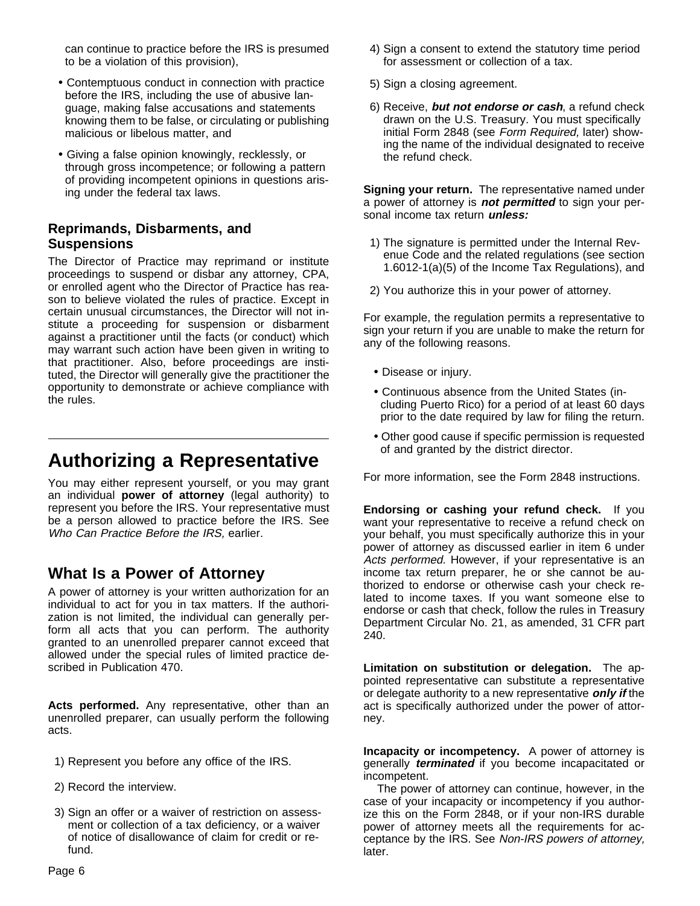can continue to practice before the IRS is presumed to be a violation of this provision),

- Contemptuous conduct in connection with practice before the IRS, including the use of abusive language, making false accusations and statements knowing them to be false, or circulating or publishing malicious or libelous matter, and
- Giving a false opinion knowingly, recklessly, or through gross incompetence; or following a pattern of providing incompetent opinions in questions arising under the federal tax laws.

### **Reprimands, Disbarments, and Suspensions**

The Director of Practice may reprimand or institute proceedings to suspend or disbar any attorney, CPA, or enrolled agent who the Director of Practice has reason to believe violated the rules of practice. Except in certain unusual circumstances, the Director will not institute a proceeding for suspension or disbarment against a practitioner until the facts (or conduct) which may warrant such action have been given in writing to that practitioner. Also, before proceedings are instituted, the Director will generally give the practitioner the opportunity to demonstrate or achieve compliance with the rules.

# **Authorizing a Representative**

You may either represent yourself, or you may grant an individual **power of attorney** (legal authority) to represent you before the IRS. Your representative must be a person allowed to practice before the IRS. See Who Can Practice Before the IRS, earlier.

# **What Is a Power of Attorney**

A power of attorney is your written authorization for an individual to act for you in tax matters. If the authorization is not limited, the individual can generally perform all acts that you can perform. The authority granted to an unenrolled preparer cannot exceed that allowed under the special rules of limited practice described in Publication 470.

**Acts performed.** Any representative, other than an unenrolled preparer, can usually perform the following acts.

- 1) Represent you before any office of the IRS.
- 2) Record the interview.
- 3) Sign an offer or a waiver of restriction on assessment or collection of a tax deficiency, or a waiver of notice of disallowance of claim for credit or refund.
- 4) Sign a consent to extend the statutory time period for assessment or collection of a tax.
- 5) Sign a closing agreement.
- 6) Receive, **but not endorse or cash**, a refund check drawn on the U.S. Treasury. You must specifically initial Form 2848 (see Form Required, later) showing the name of the individual designated to receive the refund check.

**Signing your return.** The representative named under a power of attorney is **not permitted** to sign your personal income tax return **unless:** 

- 1) The signature is permitted under the Internal Revenue Code and the related regulations (see section 1.6012-1(a)(5) of the Income Tax Regulations), and
- 2) You authorize this in your power of attorney.

For example, the regulation permits a representative to sign your return if you are unable to make the return for any of the following reasons.

- Disease or injury.
- Continuous absence from the United States (including Puerto Rico) for a period of at least 60 days prior to the date required by law for filing the return.
- Other good cause if specific permission is requested of and granted by the district director.

For more information, see the Form 2848 instructions.

**Endorsing or cashing your refund check.** If you want your representative to receive a refund check on your behalf, you must specifically authorize this in your power of attorney as discussed earlier in item 6 under Acts performed. However, if your representative is an income tax return preparer, he or she cannot be authorized to endorse or otherwise cash your check related to income taxes. If you want someone else to endorse or cash that check, follow the rules in Treasury Department Circular No. 21, as amended, 31 CFR part 240.

**Limitation on substitution or delegation.** The appointed representative can substitute a representative or delegate authority to a new representative **only if** the act is specifically authorized under the power of attorney.

**Incapacity or incompetency.** A power of attorney is generally **terminated** if you become incapacitated or incompetent.

The power of attorney can continue, however, in the case of your incapacity or incompetency if you authorize this on the Form 2848, or if your non-IRS durable power of attorney meets all the requirements for acceptance by the IRS. See Non-IRS powers of attorney, later.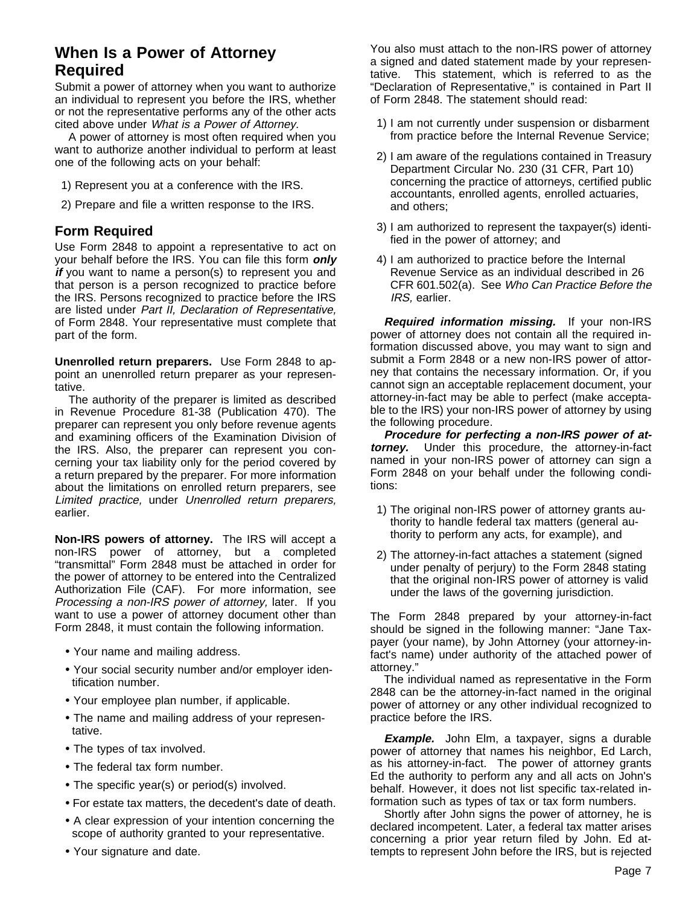# **When Is a Power of Attorney Required**

Submit a power of attorney when you want to authorize an individual to represent you before the IRS, whether or not the representative performs any of the other acts cited above under What is a Power of Attorney.

A power of attorney is most often required when you want to authorize another individual to perform at least one of the following acts on your behalf:

- 1) Represent you at a conference with the IRS.
- 2) Prepare and file a written response to the IRS.

### **Form Required**

Use Form 2848 to appoint a representative to act on your behalf before the IRS. You can file this form **only** *if* you want to name a person(s) to represent you and that person is a person recognized to practice before the IRS. Persons recognized to practice before the IRS are listed under Part II, Declaration of Representative, of Form 2848. Your representative must complete that part of the form.

**Unenrolled return preparers.** Use Form 2848 to appoint an unenrolled return preparer as your representative.

The authority of the preparer is limited as described in Revenue Procedure 81-38 (Publication 470). The preparer can represent you only before revenue agents and examining officers of the Examination Division of the IRS. Also, the preparer can represent you concerning your tax liability only for the period covered by a return prepared by the preparer. For more information about the limitations on enrolled return preparers, see Limited practice, under Unenrolled return preparers, earlier.

**Non-IRS powers of attorney.** The IRS will accept a non-IRS power of attorney, but a completed "transmittal" Form 2848 must be attached in order for the power of attorney to be entered into the Centralized Authorization File (CAF). For more information, see Processing a non-IRS power of attorney, later. If you want to use a power of attorney document other than Form 2848, it must contain the following information.

- Your name and mailing address.
- Your social security number and/or employer identification number.
- Your employee plan number, if applicable.
- The name and mailing address of your representative.
- The types of tax involved.
- The federal tax form number.
- The specific year(s) or period(s) involved.
- For estate tax matters, the decedent's date of death.
- A clear expression of your intention concerning the scope of authority granted to your representative.
- Your signature and date.

You also must attach to the non-IRS power of attorney a signed and dated statement made by your representative. This statement, which is referred to as the "Declaration of Representative," is contained in Part II of Form 2848. The statement should read:

- 1) I am not currently under suspension or disbarment from practice before the Internal Revenue Service;
- 2) I am aware of the regulations contained in Treasury Department Circular No. 230 (31 CFR, Part 10) concerning the practice of attorneys, certified public accountants, enrolled agents, enrolled actuaries, and others;
- 3) I am authorized to represent the taxpayer(s) identified in the power of attorney; and
- 4) I am authorized to practice before the Internal Revenue Service as an individual described in 26 CFR 601.502(a). See Who Can Practice Before the IRS, earlier.

**Required information missing.** If your non-IRS power of attorney does not contain all the required information discussed above, you may want to sign and submit a Form 2848 or a new non-IRS power of attorney that contains the necessary information. Or, if you cannot sign an acceptable replacement document, your attorney-in-fact may be able to perfect (make acceptable to the IRS) your non-IRS power of attorney by using the following procedure.

**Procedure for perfecting a non-IRS power of attorney.** Under this procedure, the attorney-in-fact named in your non-IRS power of attorney can sign a Form 2848 on your behalf under the following conditions:

- 1) The original non-IRS power of attorney grants authority to handle federal tax matters (general authority to perform any acts, for example), and
- 2) The attorney-in-fact attaches a statement (signed under penalty of perjury) to the Form 2848 stating that the original non-IRS power of attorney is valid under the laws of the governing jurisdiction.

The Form 2848 prepared by your attorney-in-fact should be signed in the following manner: "Jane Taxpayer (your name), by John Attorney (your attorney-infact's name) under authority of the attached power of attorney."

The individual named as representative in the Form 2848 can be the attorney-in-fact named in the original power of attorney or any other individual recognized to practice before the IRS.

**Example.** John Elm, a taxpayer, signs a durable power of attorney that names his neighbor, Ed Larch, as his attorney-in-fact. The power of attorney grants Ed the authority to perform any and all acts on John's behalf. However, it does not list specific tax-related information such as types of tax or tax form numbers.

Shortly after John signs the power of attorney, he is declared incompetent. Later, a federal tax matter arises concerning a prior year return filed by John. Ed attempts to represent John before the IRS, but is rejected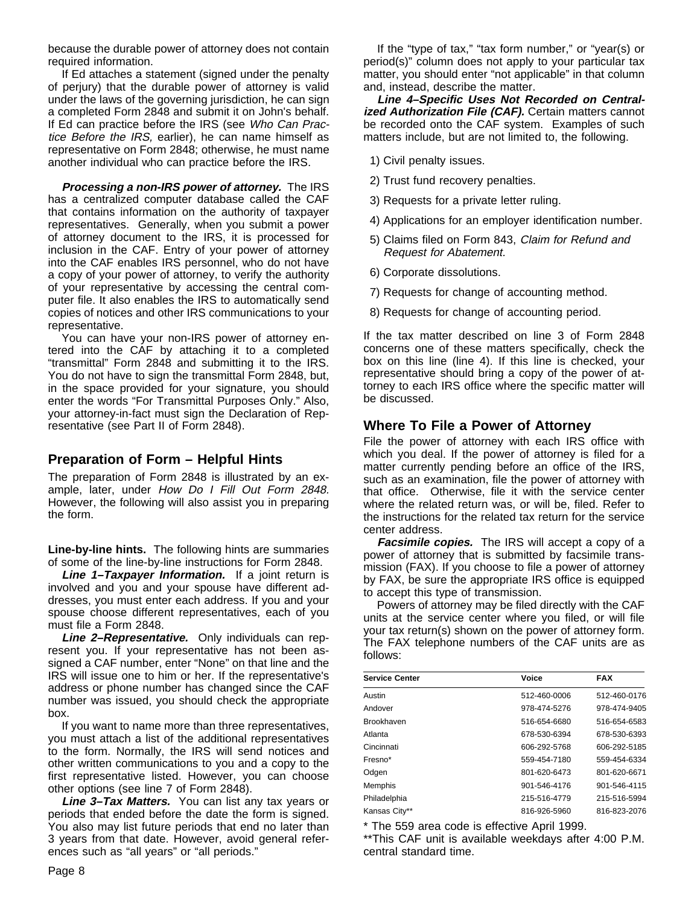because the durable power of attorney does not contain required information.

If Ed attaches a statement (signed under the penalty of perjury) that the durable power of attorney is valid under the laws of the governing jurisdiction, he can sign a completed Form 2848 and submit it on John's behalf. If Ed can practice before the IRS (see Who Can Practice Before the IRS, earlier), he can name himself as representative on Form 2848; otherwise, he must name another individual who can practice before the IRS.

**Processing a non-IRS power of attorney.** The IRS has a centralized computer database called the CAF that contains information on the authority of taxpayer representatives. Generally, when you submit a power of attorney document to the IRS, it is processed for inclusion in the CAF. Entry of your power of attorney into the CAF enables IRS personnel, who do not have a copy of your power of attorney, to verify the authority of your representative by accessing the central computer file. It also enables the IRS to automatically send copies of notices and other IRS communications to your representative.

You can have your non-IRS power of attorney entered into the CAF by attaching it to a completed "transmittal" Form 2848 and submitting it to the IRS. You do not have to sign the transmittal Form 2848, but, in the space provided for your signature, you should enter the words "For Transmittal Purposes Only." Also, your attorney-in-fact must sign the Declaration of Representative (see Part II of Form 2848).

### **Preparation of Form – Helpful Hints**

The preparation of Form 2848 is illustrated by an example, later, under How Do I Fill Out Form 2848. However, the following will also assist you in preparing the form.

**Line-by-line hints.** The following hints are summaries of some of the line-by-line instructions for Form 2848.

**Line 1–Taxpayer Information.** If a joint return is involved and you and your spouse have different addresses, you must enter each address. If you and your spouse choose different representatives, each of you must file a Form 2848.

**Line 2–Representative.** Only individuals can represent you. If your representative has not been assigned a CAF number, enter "None" on that line and the IRS will issue one to him or her. If the representative's address or phone number has changed since the CAF number was issued, you should check the appropriate box.

If you want to name more than three representatives, you must attach a list of the additional representatives to the form. Normally, the IRS will send notices and other written communications to you and a copy to the first representative listed. However, you can choose other options (see line 7 of Form 2848).

**Line 3–Tax Matters.** You can list any tax years or periods that ended before the date the form is signed. You also may list future periods that end no later than 3 years from that date. However, avoid general references such as "all years" or "all periods."

Page 8

If the "type of tax," "tax form number," or "year(s) or period(s)" column does not apply to your particular tax matter, you should enter "not applicable" in that column and, instead, describe the matter.

**Line 4–Specific Uses Not Recorded on Centralized Authorization File (CAF).** Certain matters cannot be recorded onto the CAF system. Examples of such matters include, but are not limited to, the following.

- 1) Civil penalty issues.
- 2) Trust fund recovery penalties.
- 3) Requests for a private letter ruling.
- 4) Applications for an employer identification number.
- 5) Claims filed on Form 843, Claim for Refund and Request for Abatement.
- 6) Corporate dissolutions.
- 7) Requests for change of accounting method.
- 8) Requests for change of accounting period.

If the tax matter described on line 3 of Form 2848 concerns one of these matters specifically, check the box on this line (line 4). If this line is checked, your representative should bring a copy of the power of attorney to each IRS office where the specific matter will be discussed.

# **Where To File a Power of Attorney**

File the power of attorney with each IRS office with which you deal. If the power of attorney is filed for a matter currently pending before an office of the IRS, such as an examination, file the power of attorney with that office. Otherwise, file it with the service center where the related return was, or will be, filed. Refer to the instructions for the related tax return for the service center address.

**Facsimile copies.** The IRS will accept a copy of a power of attorney that is submitted by facsimile transmission (FAX). If you choose to file a power of attorney by FAX, be sure the appropriate IRS office is equipped to accept this type of transmission.

Powers of attorney may be filed directly with the CAF units at the service center where you filed, or will file your tax return(s) shown on the power of attorney form. The FAX telephone numbers of the CAF units are as follows:

| <b>Service Center</b> | Voice        | <b>FAX</b>   |
|-----------------------|--------------|--------------|
| Austin                | 512-460-0006 | 512-460-0176 |
| Andover               | 978-474-5276 | 978-474-9405 |
| <b>Brookhaven</b>     | 516-654-6680 | 516-654-6583 |
| Atlanta               | 678-530-6394 | 678-530-6393 |
| Cincinnati            | 606-292-5768 | 606-292-5185 |
| Fresno <sup>*</sup>   | 559-454-7180 | 559-454-6334 |
| Odgen                 | 801-620-6473 | 801-620-6671 |
| Memphis               | 901-546-4176 | 901-546-4115 |
| Philadelphia          | 215-516-4779 | 215-516-5994 |
| Kansas City**         | 816-926-5960 | 816-823-2076 |

\* The 559 area code is effective April 1999.

\*\*This CAF unit is available weekdays after 4:00 P.M. central standard time.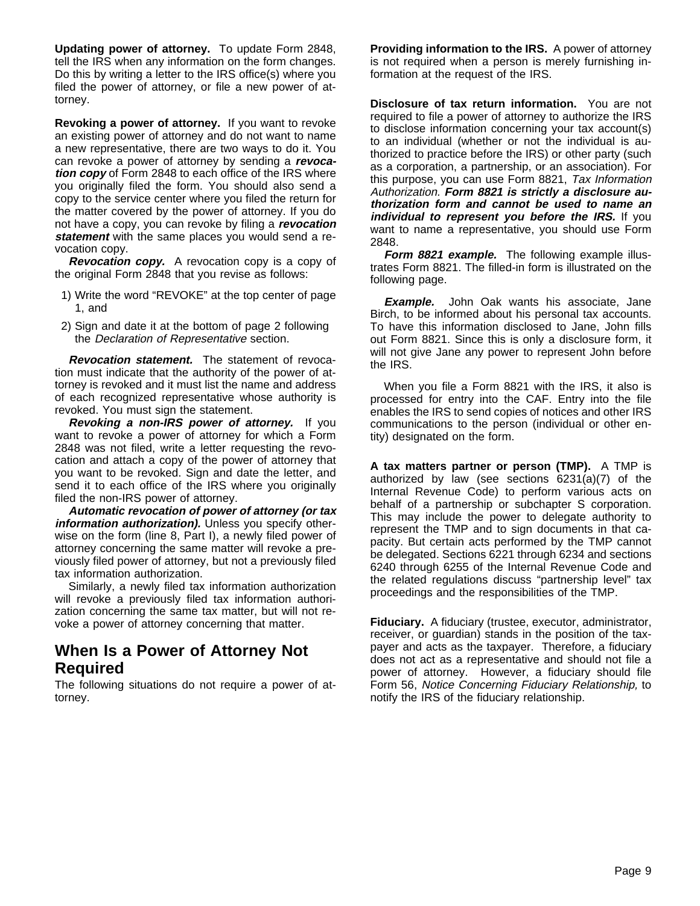**Updating power of attorney.** To update Form 2848, tell the IRS when any information on the form changes. Do this by writing a letter to the IRS office(s) where you filed the power of attorney, or file a new power of attorney.

**Revoking a power of attorney.** If you want to revoke an existing power of attorney and do not want to name a new representative, there are two ways to do it. You can revoke a power of attorney by sending a **revocation copy** of Form 2848 to each office of the IRS where you originally filed the form. You should also send a copy to the service center where you filed the return for the matter covered by the power of attorney. If you do not have a copy, you can revoke by filing a **revocation statement** with the same places you would send a revocation copy.

**Revocation copy.** A revocation copy is a copy of the original Form 2848 that you revise as follows:

- 1) Write the word "REVOKE" at the top center of page 1, and
- 2) Sign and date it at the bottom of page 2 following the Declaration of Representative section.

**Revocation statement.** The statement of revocation must indicate that the authority of the power of attorney is revoked and it must list the name and address of each recognized representative whose authority is revoked. You must sign the statement.

**Revoking a non-IRS power of attorney.** If you want to revoke a power of attorney for which a Form 2848 was not filed, write a letter requesting the revocation and attach a copy of the power of attorney that you want to be revoked. Sign and date the letter, and send it to each office of the IRS where you originally filed the non-IRS power of attorney.

**Automatic revocation of power of attorney (or tax information authorization).** Unless you specify otherwise on the form (line 8, Part I), a newly filed power of attorney concerning the same matter will revoke a previously filed power of attorney, but not a previously filed tax information authorization.

Similarly, a newly filed tax information authorization will revoke a previously filed tax information authorization concerning the same tax matter, but will not revoke a power of attorney concerning that matter.

# **When Is a Power of Attorney Not Required**

The following situations do not require a power of attorney.

**Providing information to the IRS.** A power of attorney is not required when a person is merely furnishing information at the request of the IRS.

**Disclosure of tax return information.** You are not required to file a power of attorney to authorize the IRS to disclose information concerning your tax account(s) to an individual (whether or not the individual is authorized to practice before the IRS) or other party (such as a corporation, a partnership, or an association). For this purpose, you can use Form 8821, Tax Information Authorization. **Form 8821 is strictly a disclosure authorization form and cannot be used to name an individual to represent you before the IRS.** If you want to name a representative, you should use Form 2848.

**Form 8821 example.** The following example illustrates Form 8821. The filled-in form is illustrated on the following page.

**Example.** John Oak wants his associate, Jane Birch, to be informed about his personal tax accounts. To have this information disclosed to Jane, John fills out Form 8821. Since this is only a disclosure form, it will not give Jane any power to represent John before the IRS.

When you file a Form 8821 with the IRS, it also is processed for entry into the CAF. Entry into the file enables the IRS to send copies of notices and other IRS communications to the person (individual or other entity) designated on the form.

**A tax matters partner or person (TMP).** A TMP is authorized by law (see sections 6231(a)(7) of the Internal Revenue Code) to perform various acts on behalf of a partnership or subchapter S corporation. This may include the power to delegate authority to represent the TMP and to sign documents in that capacity. But certain acts performed by the TMP cannot be delegated. Sections 6221 through 6234 and sections 6240 through 6255 of the Internal Revenue Code and the related regulations discuss "partnership level" tax proceedings and the responsibilities of the TMP.

**Fiduciary.** A fiduciary (trustee, executor, administrator, receiver, or guardian) stands in the position of the taxpayer and acts as the taxpayer. Therefore, a fiduciary does not act as a representative and should not file a power of attorney. However, a fiduciary should file Form 56, Notice Concerning Fiduciary Relationship, to notify the IRS of the fiduciary relationship.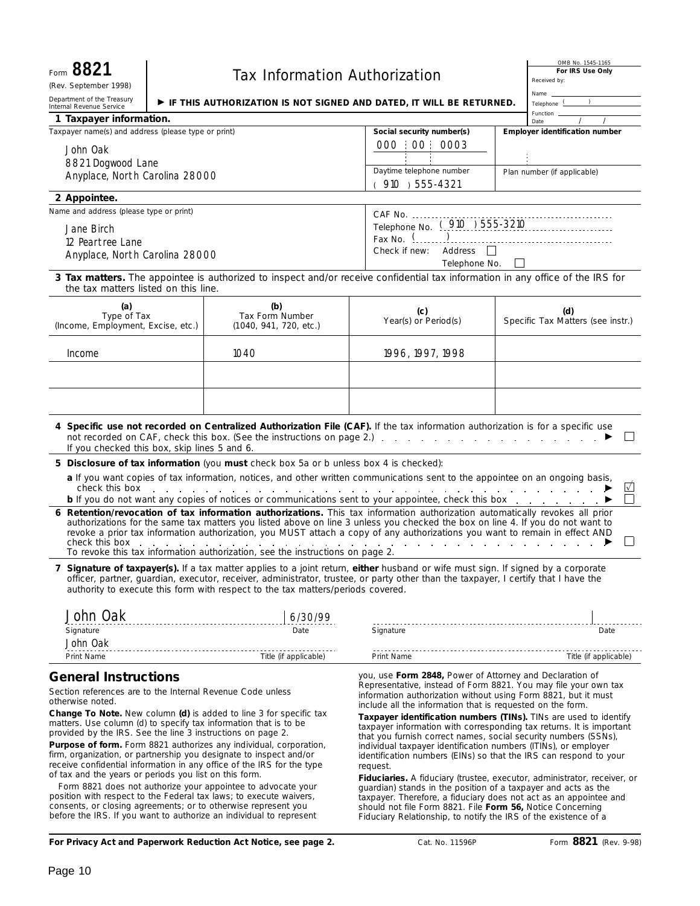| Form 8821<br>(Rev. September 1998)                                                                                                                                                                                                     |                                                                                                                                                                                                                                                                                                                                                                                                                                                                                                                                                     | <b>Tax Information Authorization</b>                                                                                                                                                                                                                                                                                                                                                                                                                                                                                                                                                                                                    |                                                                                                                                                                                                                                                                                                                                                                                                                                                                                                                                                                                                                                                                                                             |  | OMB No. 1545-1165<br>For IRS Use Only<br>Received by: |
|----------------------------------------------------------------------------------------------------------------------------------------------------------------------------------------------------------------------------------------|-----------------------------------------------------------------------------------------------------------------------------------------------------------------------------------------------------------------------------------------------------------------------------------------------------------------------------------------------------------------------------------------------------------------------------------------------------------------------------------------------------------------------------------------------------|-----------------------------------------------------------------------------------------------------------------------------------------------------------------------------------------------------------------------------------------------------------------------------------------------------------------------------------------------------------------------------------------------------------------------------------------------------------------------------------------------------------------------------------------------------------------------------------------------------------------------------------------|-------------------------------------------------------------------------------------------------------------------------------------------------------------------------------------------------------------------------------------------------------------------------------------------------------------------------------------------------------------------------------------------------------------------------------------------------------------------------------------------------------------------------------------------------------------------------------------------------------------------------------------------------------------------------------------------------------------|--|-------------------------------------------------------|
| Department of the Treasury                                                                                                                                                                                                             |                                                                                                                                                                                                                                                                                                                                                                                                                                                                                                                                                     |                                                                                                                                                                                                                                                                                                                                                                                                                                                                                                                                                                                                                                         |                                                                                                                                                                                                                                                                                                                                                                                                                                                                                                                                                                                                                                                                                                             |  | Name _<br>Telephone $\underline{\mathsf{C}}$          |
| $\blacktriangleright$ if this authorization is not signed and dated, it will be returned.<br>Internal Revenue Service<br>1 Taxpayer information.                                                                                       |                                                                                                                                                                                                                                                                                                                                                                                                                                                                                                                                                     |                                                                                                                                                                                                                                                                                                                                                                                                                                                                                                                                                                                                                                         |                                                                                                                                                                                                                                                                                                                                                                                                                                                                                                                                                                                                                                                                                                             |  | Function _                                            |
| Taxpayer name(s) and address (please type or print)                                                                                                                                                                                    |                                                                                                                                                                                                                                                                                                                                                                                                                                                                                                                                                     |                                                                                                                                                                                                                                                                                                                                                                                                                                                                                                                                                                                                                                         | Social security number(s)                                                                                                                                                                                                                                                                                                                                                                                                                                                                                                                                                                                                                                                                                   |  | Date<br>Employer identification number                |
| John Oak<br>8821 Dogwood Lane<br>Anyplace, North Carolina 28000                                                                                                                                                                        |                                                                                                                                                                                                                                                                                                                                                                                                                                                                                                                                                     |                                                                                                                                                                                                                                                                                                                                                                                                                                                                                                                                                                                                                                         | 000 00 0003<br>Daytime telephone number                                                                                                                                                                                                                                                                                                                                                                                                                                                                                                                                                                                                                                                                     |  | Plan number (if applicable)                           |
|                                                                                                                                                                                                                                        |                                                                                                                                                                                                                                                                                                                                                                                                                                                                                                                                                     |                                                                                                                                                                                                                                                                                                                                                                                                                                                                                                                                                                                                                                         | (910) 555-4321                                                                                                                                                                                                                                                                                                                                                                                                                                                                                                                                                                                                                                                                                              |  |                                                       |
| 2 Appointee.                                                                                                                                                                                                                           |                                                                                                                                                                                                                                                                                                                                                                                                                                                                                                                                                     |                                                                                                                                                                                                                                                                                                                                                                                                                                                                                                                                                                                                                                         |                                                                                                                                                                                                                                                                                                                                                                                                                                                                                                                                                                                                                                                                                                             |  |                                                       |
| Name and address (please type or print)<br>Jane Birch<br>12 Peartree Lane<br>Anyplace, North Carolina 28000                                                                                                                            |                                                                                                                                                                                                                                                                                                                                                                                                                                                                                                                                                     |                                                                                                                                                                                                                                                                                                                                                                                                                                                                                                                                                                                                                                         | Fax No. $\left\{ \ldots \right\}$<br>Check if new:<br>Address<br>Telephone No.                                                                                                                                                                                                                                                                                                                                                                                                                                                                                                                                                                                                                              |  |                                                       |
| the tax matters listed on this line.                                                                                                                                                                                                   |                                                                                                                                                                                                                                                                                                                                                                                                                                                                                                                                                     | 3 Tax matters. The appointee is authorized to inspect and/or receive confidential tax information in any office of the IRS for                                                                                                                                                                                                                                                                                                                                                                                                                                                                                                          |                                                                                                                                                                                                                                                                                                                                                                                                                                                                                                                                                                                                                                                                                                             |  |                                                       |
| (a)<br>Type of Tax<br>(Income, Employment, Excise, etc.)                                                                                                                                                                               |                                                                                                                                                                                                                                                                                                                                                                                                                                                                                                                                                     | (b)<br>Tax Form Number<br>(1040, 941, 720, etc.)                                                                                                                                                                                                                                                                                                                                                                                                                                                                                                                                                                                        | (c)<br>Year(s) or Period(s)                                                                                                                                                                                                                                                                                                                                                                                                                                                                                                                                                                                                                                                                                 |  | (d)<br>Specific Tax Matters (see instr.)              |
| Income                                                                                                                                                                                                                                 |                                                                                                                                                                                                                                                                                                                                                                                                                                                                                                                                                     | 1040                                                                                                                                                                                                                                                                                                                                                                                                                                                                                                                                                                                                                                    | 1996, 1997, 1998                                                                                                                                                                                                                                                                                                                                                                                                                                                                                                                                                                                                                                                                                            |  |                                                       |
|                                                                                                                                                                                                                                        |                                                                                                                                                                                                                                                                                                                                                                                                                                                                                                                                                     |                                                                                                                                                                                                                                                                                                                                                                                                                                                                                                                                                                                                                                         |                                                                                                                                                                                                                                                                                                                                                                                                                                                                                                                                                                                                                                                                                                             |  |                                                       |
| If you checked this box, skip lines 5 and 6.                                                                                                                                                                                           |                                                                                                                                                                                                                                                                                                                                                                                                                                                                                                                                                     | 4 Specific use not recorded on Centralized Authorization File (CAF). If the tax information authorization is for a specific use                                                                                                                                                                                                                                                                                                                                                                                                                                                                                                         |                                                                                                                                                                                                                                                                                                                                                                                                                                                                                                                                                                                                                                                                                                             |  |                                                       |
|                                                                                                                                                                                                                                        |                                                                                                                                                                                                                                                                                                                                                                                                                                                                                                                                                     | 5 Disclosure of tax information (you must check box 5a or b unless box 4 is checked):                                                                                                                                                                                                                                                                                                                                                                                                                                                                                                                                                   |                                                                                                                                                                                                                                                                                                                                                                                                                                                                                                                                                                                                                                                                                                             |  |                                                       |
| check this box                                                                                                                                                                                                                         |                                                                                                                                                                                                                                                                                                                                                                                                                                                                                                                                                     | a If you want copies of tax information, notices, and other written communications sent to the appointee on an ongoing basis,<br>$\mathcal{L}$ . The contract of the contract of the contract of the contract of the contract of $\mathcal{L}$<br><b>b</b> If you do not want any copies of notices or communications sent to your appointee, check this box                                                                                                                                                                                                                                                                            |                                                                                                                                                                                                                                                                                                                                                                                                                                                                                                                                                                                                                                                                                                             |  | ⊻                                                     |
|                                                                                                                                                                                                                                        |                                                                                                                                                                                                                                                                                                                                                                                                                                                                                                                                                     | 6 Retention/revocation of tax information authorizations. This tax information authorization automatically revokes all prior<br>authorizations for the same tax matters you listed above on line 3 unless you checked the box on line 4. If you do not want to<br>revoke a prior tax information authorization, you MUST attach a copy of any authorizations you want to remain in effect AND<br>check this box $\ldots$ $\ldots$ $\ldots$ $\ldots$ $\ldots$ $\ldots$ $\ldots$ $\ldots$ $\ldots$ $\ldots$ $\ldots$ $\ldots$ $\ldots$ $\ldots$ $\ldots$<br>To revoke this tax information authorization, see the instructions on page 2. |                                                                                                                                                                                                                                                                                                                                                                                                                                                                                                                                                                                                                                                                                                             |  |                                                       |
|                                                                                                                                                                                                                                        |                                                                                                                                                                                                                                                                                                                                                                                                                                                                                                                                                     | 7 Signature of taxpayer(s). If a tax matter applies to a joint return, either husband or wife must sign. If signed by a corporate<br>officer, partner, quardian, executor, receiver, administrator, trustee, or party other than the taxpayer, I certify that I have the<br>authority to execute this form with respect to the tax matters/periods covered.                                                                                                                                                                                                                                                                             |                                                                                                                                                                                                                                                                                                                                                                                                                                                                                                                                                                                                                                                                                                             |  |                                                       |
| John Oak<br>Signature<br>John Oak                                                                                                                                                                                                      |                                                                                                                                                                                                                                                                                                                                                                                                                                                                                                                                                     | 6/30/99<br>Date                                                                                                                                                                                                                                                                                                                                                                                                                                                                                                                                                                                                                         | Signature                                                                                                                                                                                                                                                                                                                                                                                                                                                                                                                                                                                                                                                                                                   |  | Date                                                  |
| Print Name                                                                                                                                                                                                                             |                                                                                                                                                                                                                                                                                                                                                                                                                                                                                                                                                     | Title (if applicable)                                                                                                                                                                                                                                                                                                                                                                                                                                                                                                                                                                                                                   | Print Name                                                                                                                                                                                                                                                                                                                                                                                                                                                                                                                                                                                                                                                                                                  |  | Title (if applicable)                                 |
| <b>General Instructions</b><br>Section references are to the Internal Revenue Code unless<br>otherwise noted.<br>provided by the IRS. See the line 3 instructions on page 2.<br>of tax and the years or periods you list on this form. |                                                                                                                                                                                                                                                                                                                                                                                                                                                                                                                                                     | <b>Change To Note.</b> New column (d) is added to line 3 for specific tax<br>matters. Use column (d) to specify tax information that is to be<br><b>Purpose of form.</b> Form 8821 authorizes any individual, corporation,<br>firm, organization, or partnership you designate to inspect and/or<br>receive confidential information in any office of the IRS for the type                                                                                                                                                                                                                                                              | you, use Form 2848, Power of Attorney and Declaration of<br>Representative, instead of Form 8821. You may file your own tax<br>information authorization without using Form 8821, but it must<br>include all the information that is requested on the form.<br>Taxpayer identification numbers (TINs). TINs are used to identify<br>taxpayer information with corresponding tax returns. It is important<br>that you furnish correct names, social security numbers (SSNs),<br>individual taxpayer identification numbers (ITINs), or employer<br>identification numbers (EINs) so that the IRS can respond to your<br>request.<br>Fiduciaries. A fiduciary (trustee, executor, administrator, receiver, or |  |                                                       |
|                                                                                                                                                                                                                                        | Form 8821 does not authorize your appointee to advocate your<br>guardian) stands in the position of a taxpayer and acts as the<br>position with respect to the Federal tax laws; to execute waivers,<br>taxpayer. Therefore, a fiduciary does not act as an appointee and<br>consents, or closing agreements; or to otherwise represent you<br>should not file Form 8821. File Form 56, Notice Concerning<br>before the IRS. If you want to authorize an individual to represent<br>Fiduciary Relationship, to notify the IRS of the existence of a |                                                                                                                                                                                                                                                                                                                                                                                                                                                                                                                                                                                                                                         |                                                                                                                                                                                                                                                                                                                                                                                                                                                                                                                                                                                                                                                                                                             |  |                                                       |

**For Privacy Act and Paperwork Reduction Act Notice, see page 2.**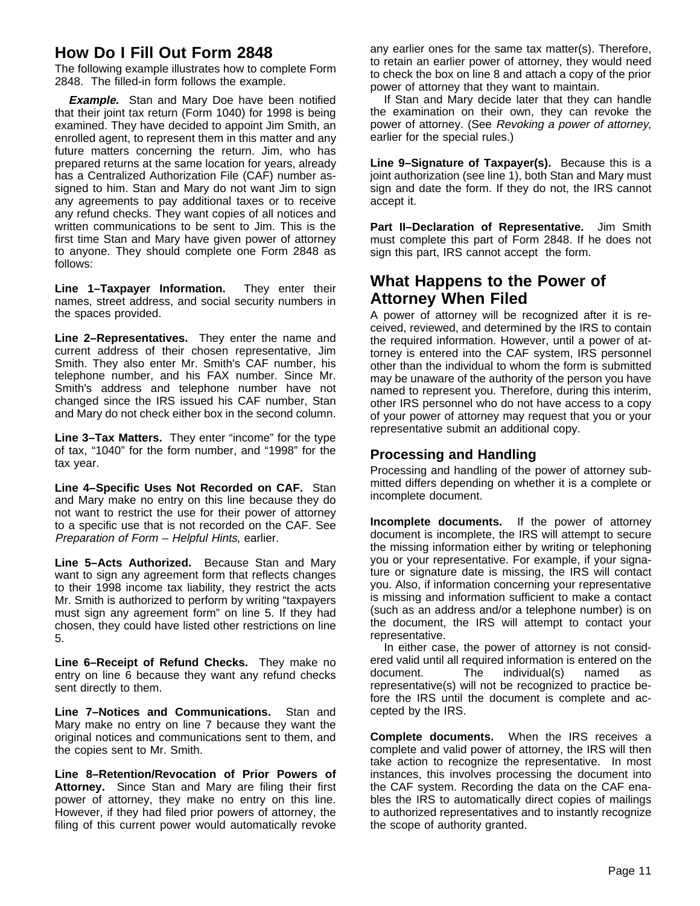# **How Do I Fill Out Form 2848**

The following example illustrates how to complete Form 2848. The filled-in form follows the example.

**Example.** Stan and Mary Doe have been notified that their joint tax return (Form 1040) for 1998 is being examined. They have decided to appoint Jim Smith, an enrolled agent, to represent them in this matter and any future matters concerning the return. Jim, who has prepared returns at the same location for years, already has a Centralized Authorization File (CAF) number assigned to him. Stan and Mary do not want Jim to sign any agreements to pay additional taxes or to receive any refund checks. They want copies of all notices and written communications to be sent to Jim. This is the first time Stan and Mary have given power of attorney to anyone. They should complete one Form 2848 as follows:

**Line 1–Taxpayer Information.** They enter their names, street address, and social security numbers in the spaces provided.

**Line 2–Representatives.** They enter the name and current address of their chosen representative, Jim Smith. They also enter Mr. Smith's CAF number, his telephone number, and his FAX number. Since Mr. Smith's address and telephone number have not changed since the IRS issued his CAF number, Stan and Mary do not check either box in the second column.

**Line 3–Tax Matters.** They enter "income" for the type of tax, "1040" for the form number, and "1998" for the tax year.

**Line 4–Specific Uses Not Recorded on CAF.** Stan and Mary make no entry on this line because they do not want to restrict the use for their power of attorney to a specific use that is not recorded on the CAF. See Preparation of Form – Helpful Hints, earlier.

**Line 5–Acts Authorized.** Because Stan and Mary want to sign any agreement form that reflects changes to their 1998 income tax liability, they restrict the acts Mr. Smith is authorized to perform by writing "taxpayers must sign any agreement form" on line 5. If they had chosen, they could have listed other restrictions on line 5.

**Line 6–Receipt of Refund Checks.** They make no entry on line 6 because they want any refund checks sent directly to them.

**Line 7–Notices and Communications.** Stan and Mary make no entry on line 7 because they want the original notices and communications sent to them, and the copies sent to Mr. Smith.

**Line 8–Retention/Revocation of Prior Powers of Attorney.** Since Stan and Mary are filing their first power of attorney, they make no entry on this line. However, if they had filed prior powers of attorney, the filing of this current power would automatically revoke

any earlier ones for the same tax matter(s). Therefore, to retain an earlier power of attorney, they would need to check the box on line 8 and attach a copy of the prior power of attorney that they want to maintain.

If Stan and Mary decide later that they can handle the examination on their own, they can revoke the power of attorney. (See Revoking a power of attorney, earlier for the special rules.)

**Line 9–Signature of Taxpayer(s).** Because this is a joint authorization (see line 1), both Stan and Mary must sign and date the form. If they do not, the IRS cannot accept it.

**Part II–Declaration of Representative.** Jim Smith must complete this part of Form 2848. If he does not sign this part, IRS cannot accept the form.

# **What Happens to the Power of Attorney When Filed**

A power of attorney will be recognized after it is received, reviewed, and determined by the IRS to contain the required information. However, until a power of attorney is entered into the CAF system, IRS personnel other than the individual to whom the form is submitted may be unaware of the authority of the person you have named to represent you. Therefore, during this interim, other IRS personnel who do not have access to a copy of your power of attorney may request that you or your representative submit an additional copy.

### **Processing and Handling**

Processing and handling of the power of attorney submitted differs depending on whether it is a complete or incomplete document.

**Incomplete documents.** If the power of attorney document is incomplete, the IRS will attempt to secure the missing information either by writing or telephoning you or your representative. For example, if your signature or signature date is missing, the IRS will contact you. Also, if information concerning your representative is missing and information sufficient to make a contact (such as an address and/or a telephone number) is on the document, the IRS will attempt to contact your representative.

In either case, the power of attorney is not considered valid until all required information is entered on the document. The individual(s) named as representative(s) will not be recognized to practice before the IRS until the document is complete and accepted by the IRS.

**Complete documents.** When the IRS receives a complete and valid power of attorney, the IRS will then take action to recognize the representative. In most instances, this involves processing the document into the CAF system. Recording the data on the CAF enables the IRS to automatically direct copies of mailings to authorized representatives and to instantly recognize the scope of authority granted.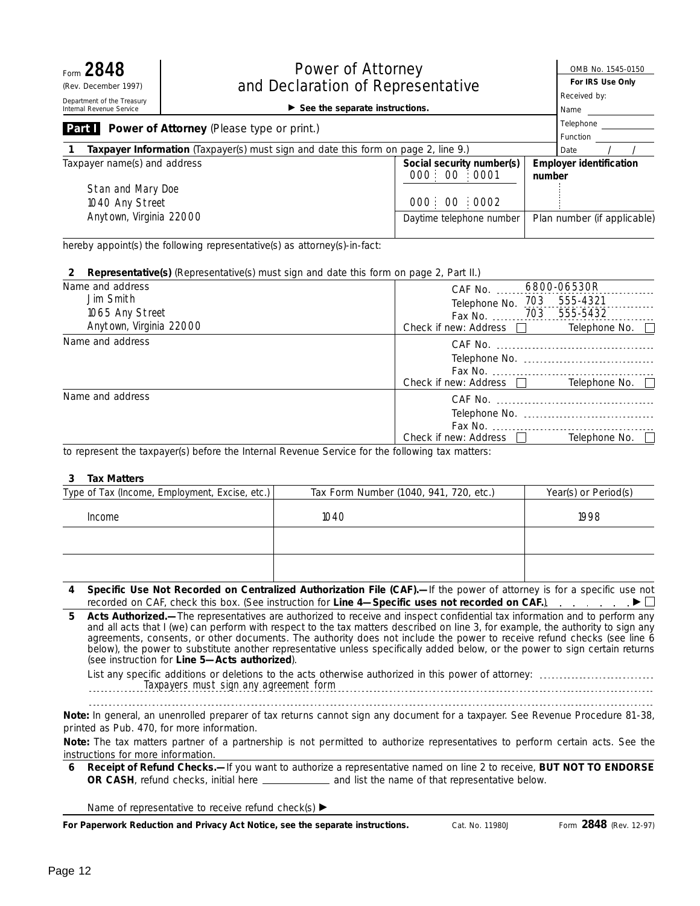| Form 2848<br><b>Power of Attorney</b><br>and Declaration of Representative<br>(Rev. December 1997)        |                                                                                    | OMB No. 1545-0150<br>For IRS Use Only    |        |                                |  |
|-----------------------------------------------------------------------------------------------------------|------------------------------------------------------------------------------------|------------------------------------------|--------|--------------------------------|--|
| Department of the Treasury<br>$\triangleright$ See the separate instructions.<br>Internal Revenue Service |                                                                                    | Received by:<br>Name                     |        |                                |  |
| Part I                                                                                                    | <b>Power of Attorney (Please type or print.)</b>                                   |                                          |        | Telephone<br>Function          |  |
|                                                                                                           | Taxpayer Information (Taxpayer(s) must sign and date this form on page 2, line 9.) |                                          |        | Date                           |  |
| Taxpayer name(s) and address<br>Stan and Mary Doe                                                         |                                                                                    | Social security number(s)<br>000:00:0001 | number | <b>Employer identification</b> |  |
| 1040 Any Street<br>Anytown, Virginia 22000                                                                |                                                                                    | 000 00 0002<br>Daytime telephone number  |        | Plan number (if applicable)    |  |

hereby appoint(s) the following representative(s) as attorney(s)-in-fact:

#### **2 Representative(s)** (Representative(s) must sign and date this form on page 2, Part II.)

| Name and address        | 6800-06530R<br>CAF No.  |                      |  |
|-------------------------|-------------------------|----------------------|--|
| Jim Smith               | Telephone No. 703       | 555-4321             |  |
| 1065 Any Street         | Fax No. 703             | 555-5432             |  |
| Anytown, Virginia 22000 | Check if new: Address [ | Telephone No. $\Box$ |  |
| Name and address        |                         |                      |  |
|                         |                         |                      |  |
|                         |                         |                      |  |
|                         | Check if new: Address   | Telephone No.        |  |
| Name and address        |                         |                      |  |
|                         |                         |                      |  |
|                         |                         |                      |  |
|                         | Check if new: Address   | Telephone No.        |  |

to represent the taxpayer(s) before the Internal Revenue Service for the following tax matters:

#### **3 Tax Matters**

| Type of Tax (Income, Employment, Excise, etc.) | Tax Form Number (1040, 941, 720, etc.) | Year(s) or Period(s) |
|------------------------------------------------|----------------------------------------|----------------------|
| Income                                         | 1040                                   | 1998                 |
|                                                |                                        |                      |
|                                                |                                        |                      |

**Specific Use Not Recorded on Centralized Authorization File (CAF).—**If the power of attorney is for a specific use not **4** recorded on CAF, check this box. (See instruction for **Line 4—Specific uses not recorded on CAF.**) ©

**Acts Authorized.—**The representatives are authorized to receive and inspect confidential tax information and to perform any and all acts that I (we) can perform with respect to the tax matters described on Iine 3, for example, the authority to sign any agreements, consents, or other documents. The authority does not include the power to receive refund checks (see line 6 below), the power to substitute another representative unless specifically added below, or the power to sign certain returns (see instruction for **Line 5—Acts authorized**). **5**

List any specific additions or deletions to the acts otherwise authorized in this power of attorney: Taxpayers must sign any agreement form

Note: In general, an unenrolled preparer of tax returns cannot sign any document for a taxpayer. See Revenue Procedure 81-38, *printed as Pub. 470, for more information.*

Note: The tax matters partner of a partnership is not permitted to authorize representatives to perform certain acts. See the *instructions for more information.*

**6 Receipt of Refund Checks.—**If you want to authorize a representative named on Iine 2 to receive, **BUT NOT TO ENDORSE OR CASH**, refund checks, initial here \_\_\_\_\_\_\_\_\_\_\_\_\_\_\_ and list the name of that representative below.

Name of representative to receive refund check(s)  $\blacktriangleright$ 

**For Paperwork Reduction and Privacy Act Notice, see the separate instructions.**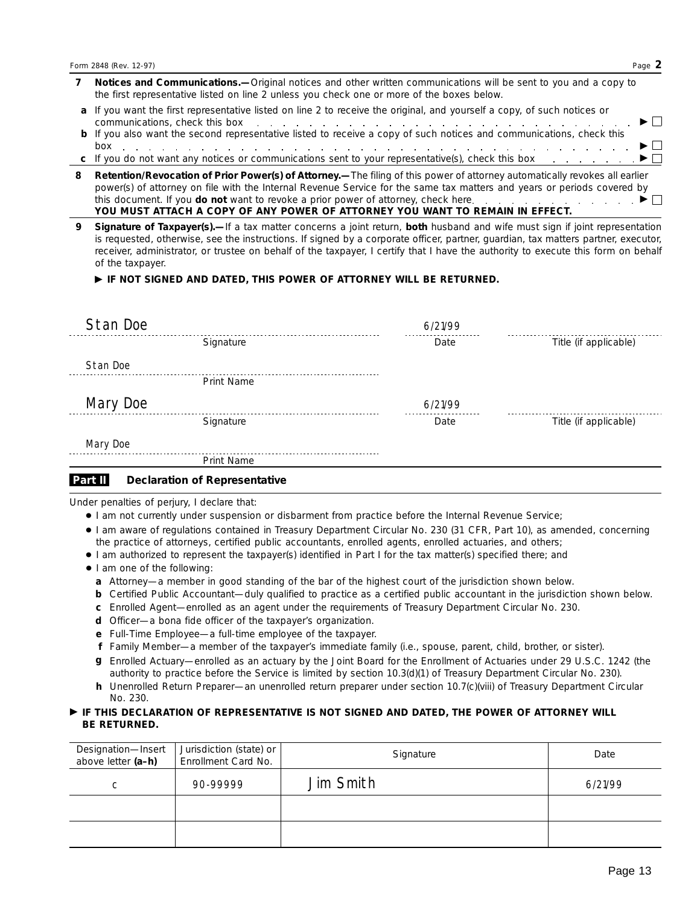| Notices and Communications.—Original notices and other written communications will be sent to you and a copy to |
|-----------------------------------------------------------------------------------------------------------------|
| the first representative listed on line 2 unless you check one or more of the boxes below.                      |

- **a** If you want the first representative listed on line 2 to receive the original, and yourself a copy, of such notices or communications, check this box  $\ldots$   $\ldots$   $\ldots$   $\ldots$   $\ldots$   $\ldots$   $\ldots$   $\ldots$   $\ldots$   $\ldots$
- **b** If you also want the second representative listed to receive a copy of such notices and communications, check this box  $\ldots$   $\ldots$   $\ldots$   $\ldots$   $\ldots$   $\ldots$   $\ldots$   $\ldots$   $\ldots$   $\ldots$   $\ldots$   $\ldots$   $\ldots$   $\ldots$   $\ldots$   $\ldots$   $\ldots$
- **c** If you do not want any notices or communications sent to your representative(s), check this box ©
- **8 Retention/Revocation of Prior Power(s) of Attorney.—**The filing of this power of attorney automatically revokes all earlier power(s) of attorney on file with the Internal Revenue Service for the same tax matters and years or periods covered by this document. If you **do not** want to revoke a prior power of attorney, check here  $\ldots$ ,  $\ldots$ ,  $\ldots$ ,  $\ldots$ **YOU MUST ATTACH A COPY OF ANY POWER OF ATTORNEY YOU WANT TO REMAIN IN EFFECT.**
- **Signature of Taxpayer(s).—**If a tax matter concerns a joint return, **both** husband and wife must sign if joint representation is requested, otherwise, see the instructions. If signed by a corporate officer, partner, guardian, tax matters partner, executor, receiver, administrator, or trustee on behalf of the taxpayer, I certify that I have the authority to execute this form on behalf of the taxpayer. **9**

#### © **IF NOT SIGNED AND DATED, THIS POWER OF ATTORNEY WILL BE RETURNED.**

| Stan Doe |                   | 6/21/99 |                       |
|----------|-------------------|---------|-----------------------|
|          | Signature         | Date    | Title (if applicable) |
| Stan Doe |                   |         |                       |
|          | <b>Print Name</b> |         |                       |
| Mary Doe |                   | 6/21/99 |                       |
|          | Signature         | Date    | Title (if applicable) |
| Mary Doe |                   |         |                       |
|          | <b>Print Name</b> |         |                       |

#### **Declaration of Representative Part II**

Under penalties of perjury, I declare that:

- I am not currently under suspension or disbarment from practice before the Internal Revenue Service;
- I am aware of regulations contained in Treasury Department Circular No. 230 (31 CFR, Part 10), as amended, concerning the practice of attorneys, certified public accountants, enrolled agents, enrolled actuaries, and others;
- I am authorized to represent the taxpayer(s) identified in Part I for the tax matter(s) specified there; and
- I am one of the following:
	- **a** Attorney—a member in good standing of the bar of the highest court of the jurisdiction shown below.
	- **b** Certified Public Accountant—duly qualified to practice as a certified public accountant in the jurisdiction shown below.
	- **c** Enrolled Agent—enrolled as an agent under the requirements of Treasury Department Circular No. 230.
	- **d** Officer—a bona fide officer of the taxpayer's organization.
	- **e** Full-Time Employee—a full-time employee of the taxpayer.
	- **f** Family Member—a member of the taxpayer's immediate family (i.e., spouse, parent, child, brother, or sister).
	- Enrolled Actuary—enrolled as an actuary by the Joint Board for the Enrollment of Actuaries under 29 U.S.C. 1242 (the **g** authority to practice before the Service is limited by section 10.3(d)(1) of Treasury Department Circular No. 230).
	- **h** Unenrolled Return Preparer—an unenrolled return preparer under section 10.7(c)(viii) of Treasury Department Circular No. 230.

#### © **IF THIS DECLARATION OF REPRESENTATIVE IS NOT SIGNED AND DATED, THE POWER OF ATTORNEY WILL BE RETURNED.**

| Designation—Insert<br>above letter (a–h) | Jurisdiction (state) or<br>Enrollment Card No. | Signature | Date    |
|------------------------------------------|------------------------------------------------|-----------|---------|
| C.                                       | 90-99999                                       | Jim Smith | 6/21/99 |
|                                          |                                                |           |         |
|                                          |                                                |           |         |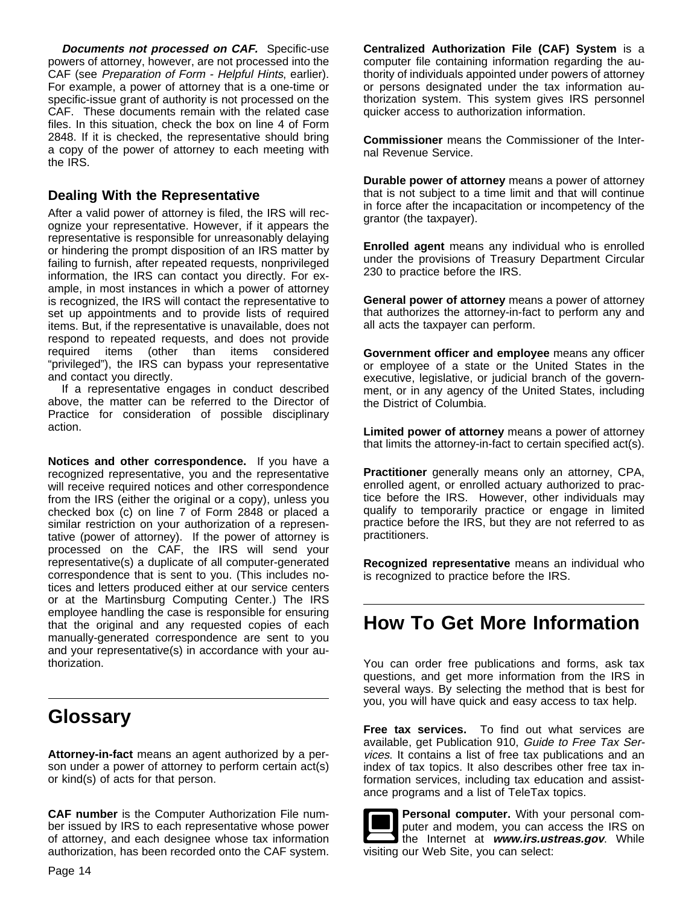**Documents not processed on CAF.** Specific-use powers of attorney, however, are not processed into the CAF (see Preparation of Form - Helpful Hints, earlier). For example, a power of attorney that is a one-time or specific-issue grant of authority is not processed on the CAF. These documents remain with the related case files. In this situation, check the box on line 4 of Form 2848. If it is checked, the representative should bring a copy of the power of attorney to each meeting with the IRS.

# **Dealing With the Representative**

After a valid power of attorney is filed, the IRS will recognize your representative. However, if it appears the representative is responsible for unreasonably delaying or hindering the prompt disposition of an IRS matter by failing to furnish, after repeated requests, nonprivileged information, the IRS can contact you directly. For example, in most instances in which a power of attorney is recognized, the IRS will contact the representative to set up appointments and to provide lists of required items. But, if the representative is unavailable, does not respond to repeated requests, and does not provide required items (other than items considered "privileged"), the IRS can bypass your representative and contact you directly.

If a representative engages in conduct described above, the matter can be referred to the Director of Practice for consideration of possible disciplinary action.

**Notices and other correspondence.** If you have a recognized representative, you and the representative will receive required notices and other correspondence from the IRS (either the original or a copy), unless you checked box (c) on line 7 of Form 2848 or placed a similar restriction on your authorization of a representative (power of attorney). If the power of attorney is processed on the CAF, the IRS will send your representative(s) a duplicate of all computer-generated correspondence that is sent to you. (This includes notices and letters produced either at our service centers or at the Martinsburg Computing Center.) The IRS employee handling the case is responsible for ensuring that the original and any requested copies of each manually-generated correspondence are sent to you and your representative(s) in accordance with your authorization.

# **Glossary**

**Attorney-in-fact** means an agent authorized by a person under a power of attorney to perform certain act(s) or kind(s) of acts for that person.

**CAF number** is the Computer Authorization File number issued by IRS to each representative whose power of attorney, and each designee whose tax information authorization, has been recorded onto the CAF system. **Centralized Authorization File (CAF) System** is a computer file containing information regarding the authority of individuals appointed under powers of attorney or persons designated under the tax information authorization system. This system gives IRS personnel quicker access to authorization information.

**Commissioner** means the Commissioner of the Internal Revenue Service.

**Durable power of attorney** means a power of attorney that is not subject to a time limit and that will continue in force after the incapacitation or incompetency of the grantor (the taxpayer).

**Enrolled agent** means any individual who is enrolled under the provisions of Treasury Department Circular 230 to practice before the IRS.

**General power of attorney** means a power of attorney that authorizes the attorney-in-fact to perform any and all acts the taxpayer can perform.

**Government officer and employee** means any officer or employee of a state or the United States in the executive, legislative, or judicial branch of the government, or in any agency of the United States, including the District of Columbia.

**Limited power of attorney** means a power of attorney that limits the attorney-in-fact to certain specified act(s).

**Practitioner** generally means only an attorney, CPA, enrolled agent, or enrolled actuary authorized to practice before the IRS. However, other individuals may qualify to temporarily practice or engage in limited practice before the IRS, but they are not referred to as practitioners.

**Recognized representative** means an individual who is recognized to practice before the IRS.

# **How To Get More Information**

You can order free publications and forms, ask tax questions, and get more information from the IRS in several ways. By selecting the method that is best for you, you will have quick and easy access to tax help.

**Free tax services.** To find out what services are available, get Publication 910, Guide to Free Tax Services. It contains a list of free tax publications and an index of tax topics. It also describes other free tax information services, including tax education and assistance programs and a list of TeleTax topics.

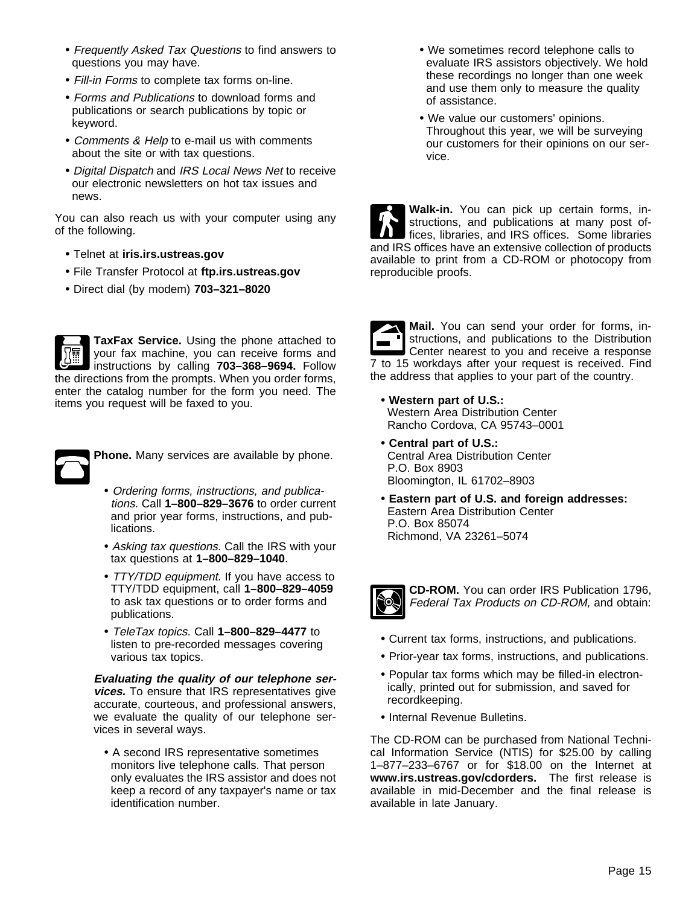- Frequently Asked Tax Questions to find answers to questions you may have.
- Fill-in Forms to complete tax forms on-line.
- Forms and Publications to download forms and publications or search publications by topic or keyword.
- Comments & Help to e-mail us with comments about the site or with tax questions.
- Digital Dispatch and IRS Local News Net to receive our electronic newsletters on hot tax issues and news.

You can also reach us with your computer using any of the following.

- Telnet at **iris.irs.ustreas.gov**
- File Transfer Protocol at **ftp.irs.ustreas.gov**
- Direct dial (by modem) **703–321–8020**

**TaxFax Service.** Using the phone attached to your fax machine, you can receive forms and instructions by calling **703–368–9694.** Follow the directions from the prompts. When you order forms, enter the catalog number for the form you need. The items you request will be faxed to you.



**Phone.** Many services are available by phone.

- Ordering forms, instructions, and publications. Call **1–800–829–3676** to order current and prior year forms, instructions, and publications.
- Asking tax questions. Call the IRS with your tax questions at **1–800–829–1040**.
- TTY/TDD equipment. If you have access to TTY/TDD equipment, call **1–800–829–4059** to ask tax questions or to order forms and publications.
- TeleTax topics. Call **1–800–829–4477** to listen to pre-recorded messages covering various tax topics.

**Evaluating the quality of our telephone services.** To ensure that IRS representatives give accurate, courteous, and professional answers, we evaluate the quality of our telephone services in several ways.

• A second IRS representative sometimes monitors live telephone calls. That person only evaluates the IRS assistor and does not keep a record of any taxpayer's name or tax identification number.

- We sometimes record telephone calls to evaluate IRS assistors objectively. We hold these recordings no longer than one week and use them only to measure the quality of assistance.
- We value our customers' opinions. Throughout this year, we will be surveying our customers for their opinions on our service.

**Walk-in.** You can pick up certain forms, instructions, and publications at many post offices, libraries, and IRS offices. Some libraries and IRS offices have an extensive collection of products available to print from a CD-ROM or photocopy from reproducible proofs.

| ۱<br>S |
|--------|
| ⊏      |

**Mail.** You can send your order for forms, instructions, and publications to the Distribution Center nearest to you and receive a response 7 to 15 workdays after your request is received. Find the address that applies to your part of the country.

- **Western part of U.S.:**  Western Area Distribution Center Rancho Cordova, CA 95743–0001
- **Central part of U.S.:**  Central Area Distribution Center P.O. Box 8903 Bloomington, IL 61702–8903
- **Eastern part of U.S. and foreign addresses:** Eastern Area Distribution Center P.O. Box 85074 Richmond, VA 23261–5074



**CD-ROM.** You can order IRS Publication 1796, Federal Tax Products on CD-ROM, and obtain:

- Current tax forms, instructions, and publications.
- Prior-year tax forms, instructions, and publications.
- Popular tax forms which may be filled-in electronically, printed out for submission, and saved for recordkeeping.
- Internal Revenue Bulletins.

The CD-ROM can be purchased from National Technical Information Service (NTIS) for \$25.00 by calling 1–877–233–6767 or for \$18.00 on the Internet at **www.irs.ustreas.gov/cdorders.** The first release is available in mid-December and the final release is available in late January.